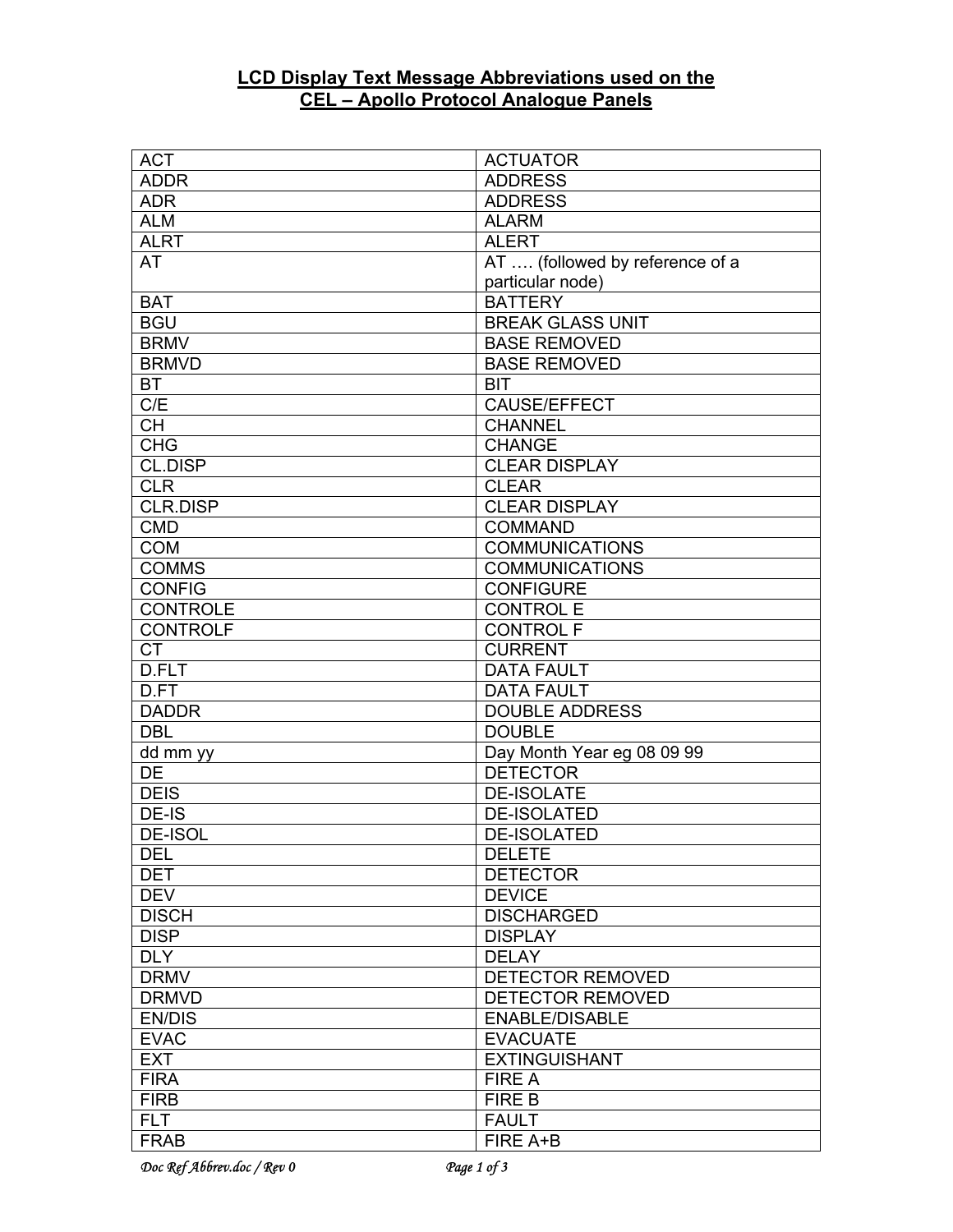## **LCD Display Text Message Abbreviations used on the CEL – Apollo Protocol Analogue Panels**

| <b>ACT</b>      | <b>ACTUATOR</b>                 |
|-----------------|---------------------------------|
| <b>ADDR</b>     | <b>ADDRESS</b>                  |
| <b>ADR</b>      | <b>ADDRESS</b>                  |
| <b>ALM</b>      | <b>ALARM</b>                    |
| <b>ALRT</b>     | <b>ALERT</b>                    |
| AT              | AT  (followed by reference of a |
|                 | particular node)                |
| <b>BAT</b>      | <b>BATTERY</b>                  |
| <b>BGU</b>      | <b>BREAK GLASS UNIT</b>         |
| <b>BRMV</b>     | <b>BASE REMOVED</b>             |
| <b>BRMVD</b>    | <b>BASE REMOVED</b>             |
| <b>BT</b>       | <b>BIT</b>                      |
| C/E             | CAUSE/EFFECT                    |
| $\overline{CH}$ | <b>CHANNEL</b>                  |
| <b>CHG</b>      | <b>CHANGE</b>                   |
| CL.DISP         | <b>CLEAR DISPLAY</b>            |
| <b>CLR</b>      | <b>CLEAR</b>                    |
| <b>CLR.DISP</b> | <b>CLEAR DISPLAY</b>            |
| <b>CMD</b>      | <b>COMMAND</b>                  |
| <b>COM</b>      | <b>COMMUNICATIONS</b>           |
| <b>COMMS</b>    | <b>COMMUNICATIONS</b>           |
| <b>CONFIG</b>   | <b>CONFIGURE</b>                |
| <b>CONTROLE</b> | <b>CONTROL E</b>                |
| <b>CONTROLF</b> | <b>CONTROL F</b>                |
| <b>CT</b>       | <b>CURRENT</b>                  |
| D.FLT           | <b>DATA FAULT</b>               |
| D.FT            | <b>DATA FAULT</b>               |
| <b>DADDR</b>    | <b>DOUBLE ADDRESS</b>           |
| <b>DBL</b>      | <b>DOUBLE</b>                   |
| dd mm yy        | Day Month Year eg 08 09 99      |
| DE              | <b>DETECTOR</b>                 |
| <b>DEIS</b>     | <b>DE-ISOLATE</b>               |
| DE-IS           | <b>DE-ISOLATED</b>              |
| <b>DE-ISOL</b>  | <b>DE-ISOLATED</b>              |
| <b>DEL</b>      | <b>DELETE</b>                   |
| <b>DET</b>      | <b>DETECTOR</b>                 |
| <b>DEV</b>      | <b>DEVICE</b>                   |
| <b>DISCH</b>    | <b>DISCHARGED</b>               |
| <b>DISP</b>     | <b>DISPLAY</b>                  |
| <b>DLY</b>      | <b>DELAY</b>                    |
| <b>DRMV</b>     | DETECTOR REMOVED                |
| <b>DRMVD</b>    | DETECTOR REMOVED                |
| <b>EN/DIS</b>   | <b>ENABLE/DISABLE</b>           |
| <b>EVAC</b>     | <b>EVACUATE</b>                 |
| <b>EXT</b>      | <b>EXTINGUISHANT</b>            |
| <b>FIRA</b>     | <b>FIRE A</b>                   |
| <b>FIRB</b>     | <b>FIRE B</b>                   |
| <b>FLT</b>      | <b>FAULT</b>                    |
| <b>FRAB</b>     | FIRE A+B                        |
|                 |                                 |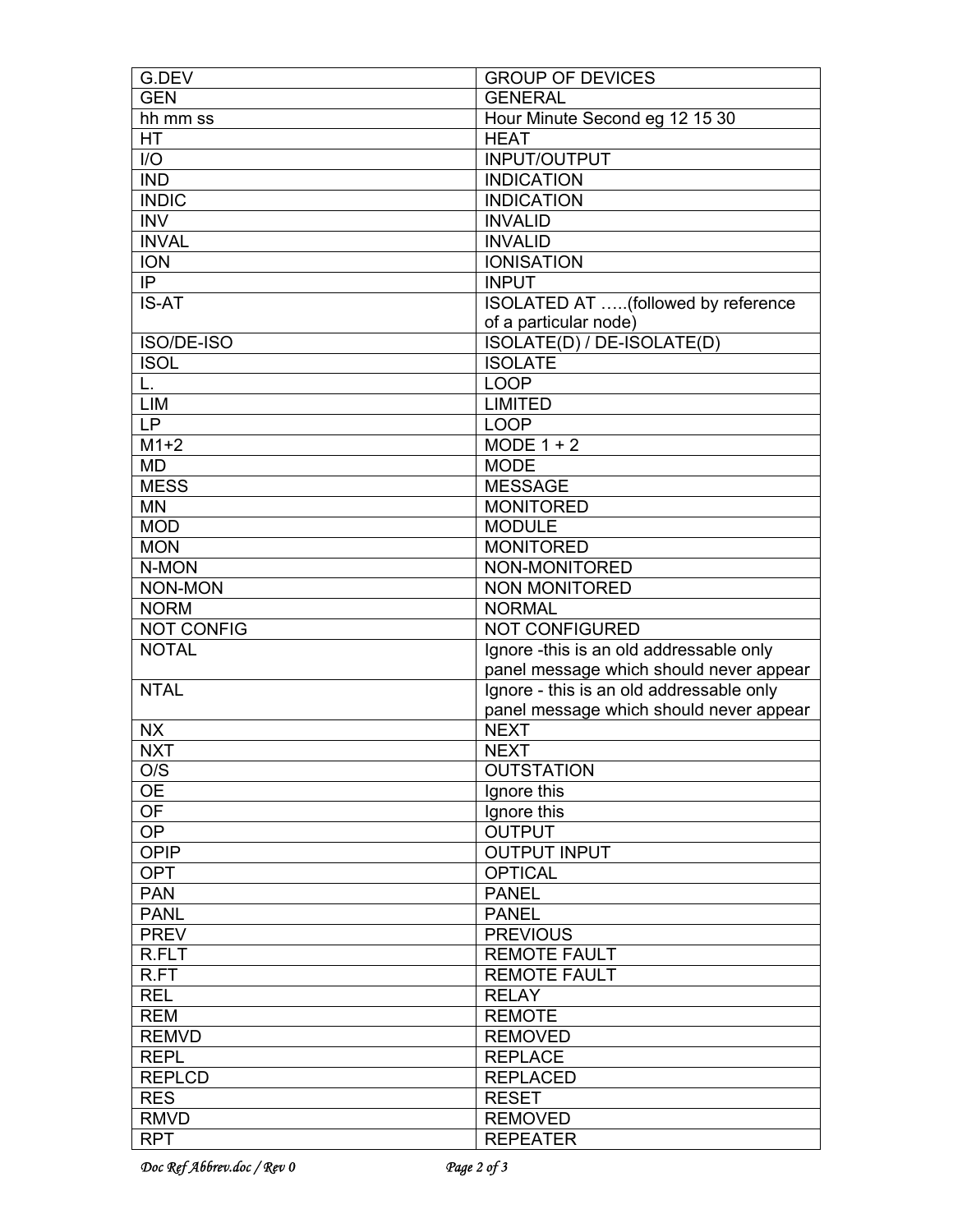| G.DEV             | <b>GROUP OF DEVICES</b>                  |
|-------------------|------------------------------------------|
| <b>GEN</b>        | <b>GENERAL</b>                           |
| hh mm ss          | Hour Minute Second eg 12 15 30           |
| <b>HT</b>         | <b>HEAT</b>                              |
| I/O               | INPUT/OUTPUT                             |
| <b>IND</b>        | <b>INDICATION</b>                        |
| <b>INDIC</b>      | <b>INDICATION</b>                        |
| <b>INV</b>        | <b>INVALID</b>                           |
| <b>INVAL</b>      | <b>INVALID</b>                           |
| <b>ION</b>        | <b>IONISATION</b>                        |
| IP                | <b>INPUT</b>                             |
| <b>IS-AT</b>      | ISOLATED AT (followed by reference       |
|                   | of a particular node)                    |
| ISO/DE-ISO        | ISOLATE(D) / DE-ISOLATE(D)               |
| <b>ISOL</b>       | <b>ISOLATE</b>                           |
| L.                | <b>LOOP</b>                              |
| LIM               | <b>LIMITED</b>                           |
| LP                | <b>LOOP</b>                              |
| $\overline{M1+2}$ | $MODE 1 + 2$                             |
| <b>MD</b>         | <b>MODE</b>                              |
| <b>MESS</b>       | <b>MESSAGE</b>                           |
| <b>MN</b>         | <b>MONITORED</b>                         |
| <b>MOD</b>        | <b>MODULE</b>                            |
| <b>MON</b>        | <b>MONITORED</b>                         |
| N-MON             | NON-MONITORED                            |
| <b>NON-MON</b>    | NON MONITORED                            |
| <b>NORM</b>       | <b>NORMAL</b>                            |
| <b>NOT CONFIG</b> | NOT CONFIGURED                           |
| <b>NOTAL</b>      | Ignore -this is an old addressable only  |
|                   | panel message which should never appear  |
| <b>NTAL</b>       | Ignore - this is an old addressable only |
|                   | panel message which should never appear  |
| <b>NX</b>         | <b>NEXT</b>                              |
| <b>NXT</b>        | <b>NEXT</b>                              |
| O/S               | <b>OUTSTATION</b>                        |
| <b>OE</b>         | Ignore this                              |
| OF                | Ignore this                              |
| <b>OP</b>         | <b>OUTPUT</b>                            |
| <b>OPIP</b>       | <b>OUTPUT INPUT</b>                      |
| <b>OPT</b>        | <b>OPTICAL</b>                           |
| <b>PAN</b>        | <b>PANEL</b>                             |
| <b>PANL</b>       | <b>PANEL</b>                             |
| <b>PREV</b>       | <b>PREVIOUS</b>                          |
| R.FLT             | <b>REMOTE FAULT</b>                      |
| R.FT              | <b>REMOTE FAULT</b>                      |
| <b>REL</b>        | <b>RELAY</b>                             |
| <b>REM</b>        | <b>REMOTE</b>                            |
| <b>REMVD</b>      | <b>REMOVED</b>                           |
| <b>REPL</b>       | <b>REPLACE</b>                           |
| <b>REPLCD</b>     | <b>REPLACED</b>                          |
| <b>RES</b>        | <b>RESET</b>                             |
| <b>RMVD</b>       | <b>REMOVED</b>                           |
| <b>RPT</b>        | <b>REPEATER</b>                          |
|                   |                                          |